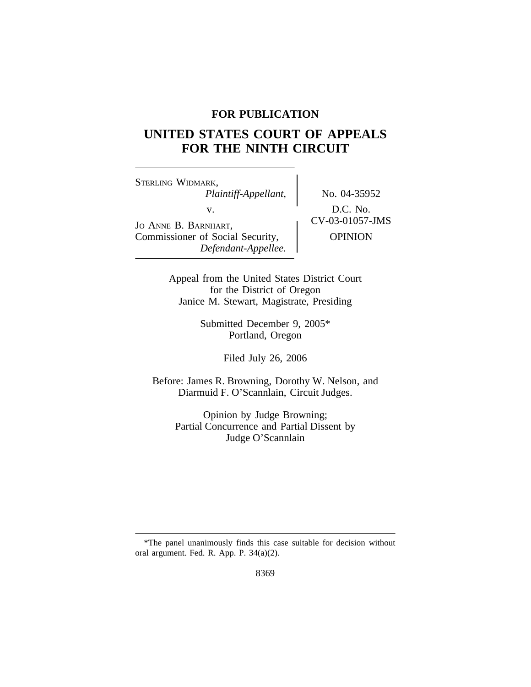## **FOR PUBLICATION**

# **UNITED STATES COURT OF APPEALS FOR THE NINTH CIRCUIT**

<sup>S</sup>TERLING WIDMARK, *Plaintiff-Appellant,* No. 04-35952 V.<br>
JO ANNE B. BARNHART, CV-03-01057-JMS Commissioner of Social Security,  $\qquad$  OPINION *Defendant-Appellee.*

Appeal from the United States District Court for the District of Oregon Janice M. Stewart, Magistrate, Presiding

> Submitted December 9, 2005\* Portland, Oregon

> > Filed July 26, 2006

Before: James R. Browning, Dorothy W. Nelson, and Diarmuid F. O'Scannlain, Circuit Judges.

Opinion by Judge Browning; Partial Concurrence and Partial Dissent by Judge O'Scannlain

<sup>\*</sup>The panel unanimously finds this case suitable for decision without oral argument. Fed. R. App. P. 34(a)(2).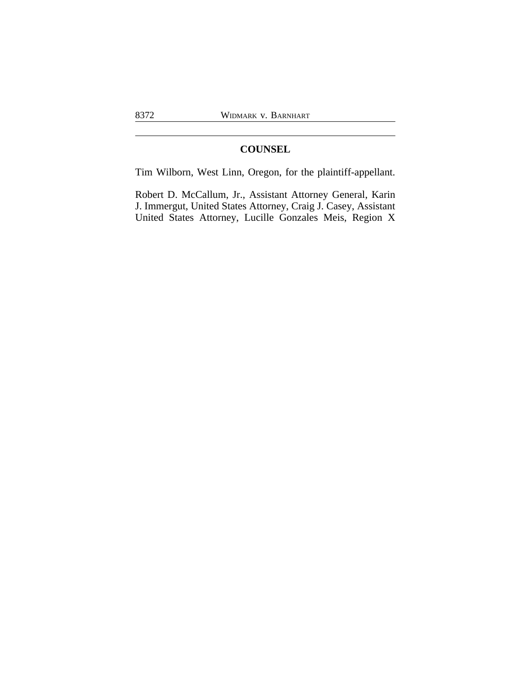## **COUNSEL**

Tim Wilborn, West Linn, Oregon, for the plaintiff-appellant.

Robert D. McCallum, Jr., Assistant Attorney General, Karin J. Immergut, United States Attorney, Craig J. Casey, Assistant United States Attorney, Lucille Gonzales Meis, Region X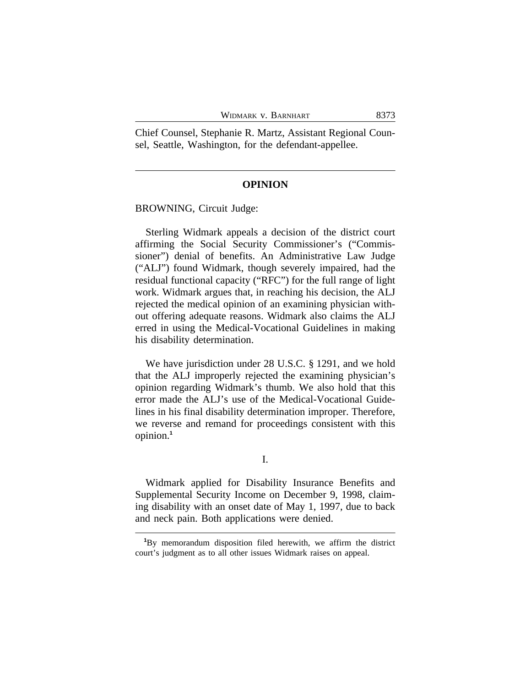Chief Counsel, Stephanie R. Martz, Assistant Regional Counsel, Seattle, Washington, for the defendant-appellee.

## **OPINION**

BROWNING, Circuit Judge:

Sterling Widmark appeals a decision of the district court affirming the Social Security Commissioner's ("Commissioner") denial of benefits. An Administrative Law Judge ("ALJ") found Widmark, though severely impaired, had the residual functional capacity ("RFC") for the full range of light work. Widmark argues that, in reaching his decision, the ALJ rejected the medical opinion of an examining physician without offering adequate reasons. Widmark also claims the ALJ erred in using the Medical-Vocational Guidelines in making his disability determination.

We have jurisdiction under 28 U.S.C. § 1291, and we hold that the ALJ improperly rejected the examining physician's opinion regarding Widmark's thumb. We also hold that this error made the ALJ's use of the Medical-Vocational Guidelines in his final disability determination improper. Therefore, we reverse and remand for proceedings consistent with this opinion.**<sup>1</sup>**

I.

Widmark applied for Disability Insurance Benefits and Supplemental Security Income on December 9, 1998, claiming disability with an onset date of May 1, 1997, due to back and neck pain. Both applications were denied.

**<sup>1</sup>**By memorandum disposition filed herewith, we affirm the district court's judgment as to all other issues Widmark raises on appeal.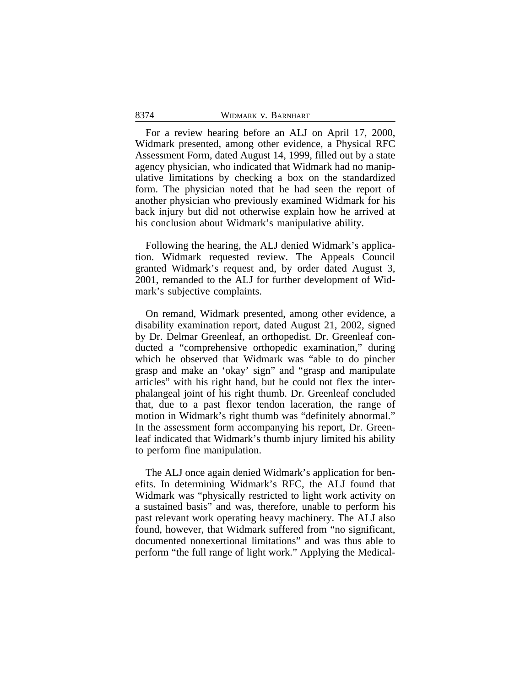For a review hearing before an ALJ on April 17, 2000, Widmark presented, among other evidence, a Physical RFC Assessment Form, dated August 14, 1999, filled out by a state agency physician, who indicated that Widmark had no manipulative limitations by checking a box on the standardized form. The physician noted that he had seen the report of another physician who previously examined Widmark for his back injury but did not otherwise explain how he arrived at his conclusion about Widmark's manipulative ability.

Following the hearing, the ALJ denied Widmark's application. Widmark requested review. The Appeals Council granted Widmark's request and, by order dated August 3, 2001, remanded to the ALJ for further development of Widmark's subjective complaints.

On remand, Widmark presented, among other evidence, a disability examination report, dated August 21, 2002, signed by Dr. Delmar Greenleaf, an orthopedist. Dr. Greenleaf conducted a "comprehensive orthopedic examination," during which he observed that Widmark was "able to do pincher grasp and make an 'okay' sign" and "grasp and manipulate articles" with his right hand, but he could not flex the interphalangeal joint of his right thumb. Dr. Greenleaf concluded that, due to a past flexor tendon laceration, the range of motion in Widmark's right thumb was "definitely abnormal." In the assessment form accompanying his report, Dr. Greenleaf indicated that Widmark's thumb injury limited his ability to perform fine manipulation.

The ALJ once again denied Widmark's application for benefits. In determining Widmark's RFC, the ALJ found that Widmark was "physically restricted to light work activity on a sustained basis" and was, therefore, unable to perform his past relevant work operating heavy machinery. The ALJ also found, however, that Widmark suffered from "no significant, documented nonexertional limitations" and was thus able to perform "the full range of light work." Applying the Medical-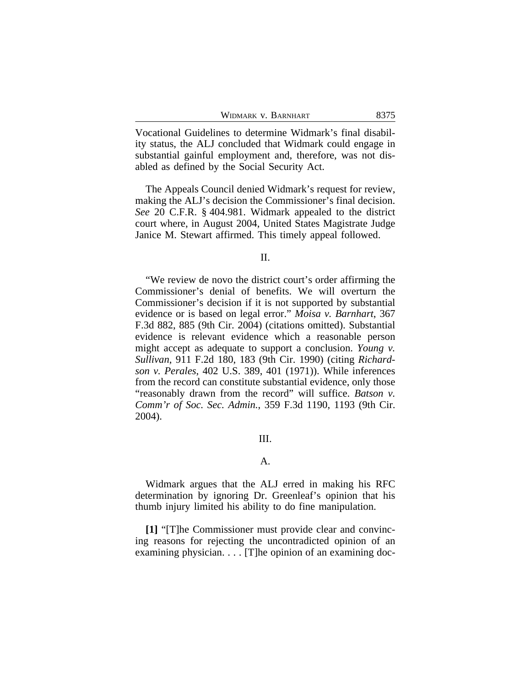| WIDMARK V. BARNHART | 8375 |
|---------------------|------|
|                     |      |

Vocational Guidelines to determine Widmark's final disability status, the ALJ concluded that Widmark could engage in substantial gainful employment and, therefore, was not disabled as defined by the Social Security Act.

The Appeals Council denied Widmark's request for review, making the ALJ's decision the Commissioner's final decision. *See* 20 C.F.R. § 404.981. Widmark appealed to the district court where, in August 2004, United States Magistrate Judge Janice M. Stewart affirmed. This timely appeal followed.

II.

"We review de novo the district court's order affirming the Commissioner's denial of benefits. We will overturn the Commissioner's decision if it is not supported by substantial evidence or is based on legal error." *Moisa v. Barnhart*, 367 F.3d 882, 885 (9th Cir. 2004) (citations omitted). Substantial evidence is relevant evidence which a reasonable person might accept as adequate to support a conclusion. *Young v. Sullivan*, 911 F.2d 180, 183 (9th Cir. 1990) (citing *Richardson v. Perales*, 402 U.S. 389, 401 (1971)). While inferences from the record can constitute substantial evidence, only those "reasonably drawn from the record" will suffice. *Batson v. Comm'r of Soc. Sec. Admin.*, 359 F.3d 1190, 1193 (9th Cir. 2004).

## III.

### A.

Widmark argues that the ALJ erred in making his RFC determination by ignoring Dr. Greenleaf's opinion that his thumb injury limited his ability to do fine manipulation.

**[1]** "[T]he Commissioner must provide clear and convincing reasons for rejecting the uncontradicted opinion of an examining physician. . . . [T]he opinion of an examining doc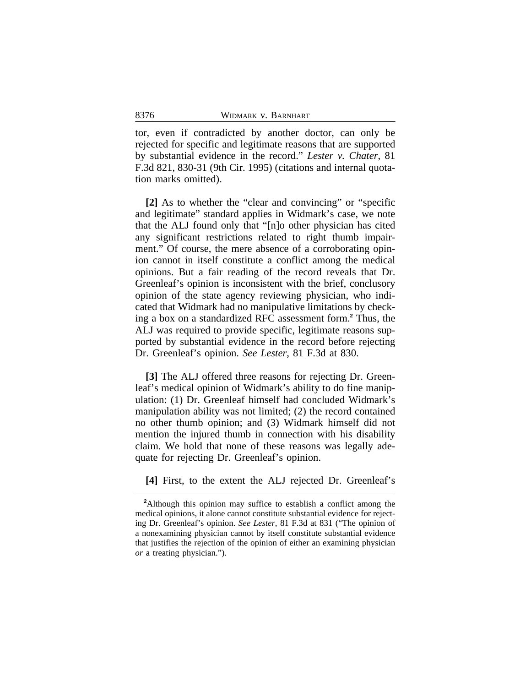tor, even if contradicted by another doctor, can only be rejected for specific and legitimate reasons that are supported by substantial evidence in the record." *Lester v. Chater*, 81 F.3d 821, 830-31 (9th Cir. 1995) (citations and internal quotation marks omitted).

**[2]** As to whether the "clear and convincing" or "specific and legitimate" standard applies in Widmark's case, we note that the ALJ found only that "[n]o other physician has cited any significant restrictions related to right thumb impairment." Of course, the mere absence of a corroborating opinion cannot in itself constitute a conflict among the medical opinions. But a fair reading of the record reveals that Dr. Greenleaf's opinion is inconsistent with the brief, conclusory opinion of the state agency reviewing physician, who indicated that Widmark had no manipulative limitations by checking a box on a standardized RFC assessment form.**<sup>2</sup>** Thus, the ALJ was required to provide specific, legitimate reasons supported by substantial evidence in the record before rejecting Dr. Greenleaf's opinion. *See Lester*, 81 F.3d at 830.

**[3]** The ALJ offered three reasons for rejecting Dr. Greenleaf's medical opinion of Widmark's ability to do fine manipulation: (1) Dr. Greenleaf himself had concluded Widmark's manipulation ability was not limited; (2) the record contained no other thumb opinion; and (3) Widmark himself did not mention the injured thumb in connection with his disability claim. We hold that none of these reasons was legally adequate for rejecting Dr. Greenleaf's opinion.

**[4]** First, to the extent the ALJ rejected Dr. Greenleaf's

**<sup>2</sup>**Although this opinion may suffice to establish a conflict among the medical opinions, it alone cannot constitute substantial evidence for rejecting Dr. Greenleaf's opinion. *See Lester*, 81 F.3d at 831 ("The opinion of a nonexamining physician cannot by itself constitute substantial evidence that justifies the rejection of the opinion of either an examining physician *or* a treating physician.").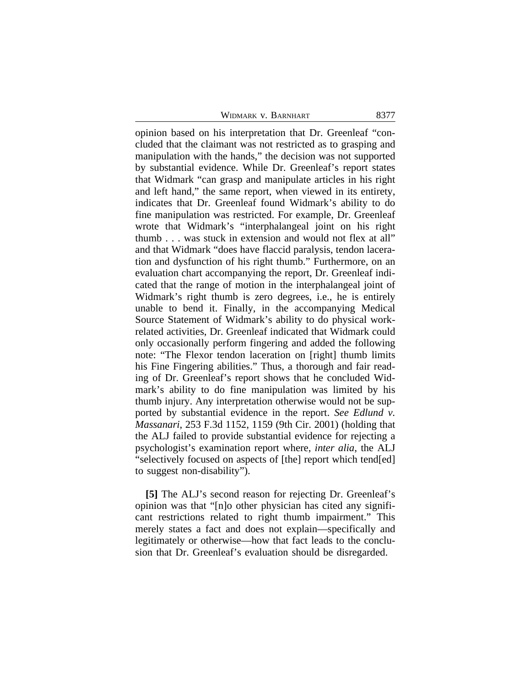WIDMARK V. BARNHART 8377

opinion based on his interpretation that Dr. Greenleaf "concluded that the claimant was not restricted as to grasping and manipulation with the hands," the decision was not supported by substantial evidence. While Dr. Greenleaf's report states that Widmark "can grasp and manipulate articles in his right and left hand," the same report, when viewed in its entirety, indicates that Dr. Greenleaf found Widmark's ability to do fine manipulation was restricted. For example, Dr. Greenleaf wrote that Widmark's "interphalangeal joint on his right thumb . . . was stuck in extension and would not flex at all" and that Widmark "does have flaccid paralysis, tendon laceration and dysfunction of his right thumb." Furthermore, on an evaluation chart accompanying the report, Dr. Greenleaf indicated that the range of motion in the interphalangeal joint of Widmark's right thumb is zero degrees, i.e., he is entirely unable to bend it. Finally, in the accompanying Medical Source Statement of Widmark's ability to do physical workrelated activities, Dr. Greenleaf indicated that Widmark could only occasionally perform fingering and added the following note: "The Flexor tendon laceration on [right] thumb limits his Fine Fingering abilities." Thus, a thorough and fair reading of Dr. Greenleaf's report shows that he concluded Widmark's ability to do fine manipulation was limited by his thumb injury. Any interpretation otherwise would not be supported by substantial evidence in the report. *See Edlund v. Massanari*, 253 F.3d 1152, 1159 (9th Cir. 2001) (holding that the ALJ failed to provide substantial evidence for rejecting a psychologist's examination report where, *inter alia*, the ALJ "selectively focused on aspects of [the] report which tend[ed] to suggest non-disability").

**[5]** The ALJ's second reason for rejecting Dr. Greenleaf's opinion was that "[n]o other physician has cited any significant restrictions related to right thumb impairment." This merely states a fact and does not explain—specifically and legitimately or otherwise—how that fact leads to the conclusion that Dr. Greenleaf's evaluation should be disregarded.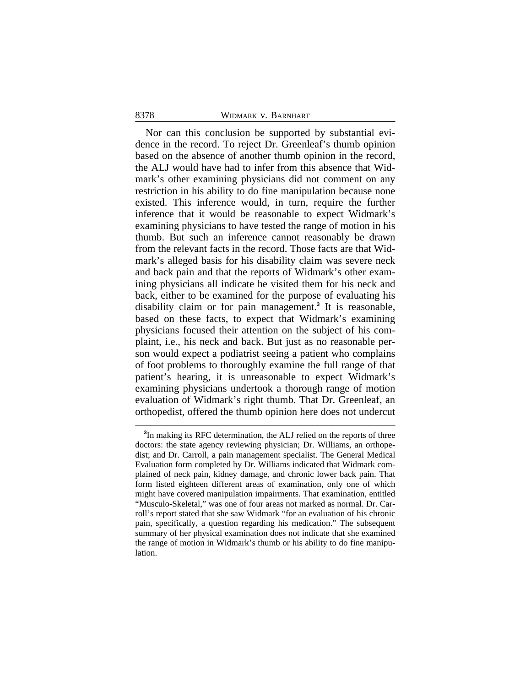#### 8378 WIDMARK v. BARNHART

Nor can this conclusion be supported by substantial evidence in the record. To reject Dr. Greenleaf's thumb opinion based on the absence of another thumb opinion in the record, the ALJ would have had to infer from this absence that Widmark's other examining physicians did not comment on any restriction in his ability to do fine manipulation because none existed. This inference would, in turn, require the further inference that it would be reasonable to expect Widmark's examining physicians to have tested the range of motion in his thumb. But such an inference cannot reasonably be drawn from the relevant facts in the record. Those facts are that Widmark's alleged basis for his disability claim was severe neck and back pain and that the reports of Widmark's other examining physicians all indicate he visited them for his neck and back, either to be examined for the purpose of evaluating his disability claim or for pain management.**<sup>3</sup>** It is reasonable, based on these facts, to expect that Widmark's examining physicians focused their attention on the subject of his complaint, i.e., his neck and back. But just as no reasonable person would expect a podiatrist seeing a patient who complains of foot problems to thoroughly examine the full range of that patient's hearing, it is unreasonable to expect Widmark's examining physicians undertook a thorough range of motion evaluation of Widmark's right thumb. That Dr. Greenleaf, an orthopedist, offered the thumb opinion here does not undercut

**<sup>3</sup>** In making its RFC determination, the ALJ relied on the reports of three doctors: the state agency reviewing physician; Dr. Williams, an orthopedist; and Dr. Carroll, a pain management specialist. The General Medical Evaluation form completed by Dr. Williams indicated that Widmark complained of neck pain, kidney damage, and chronic lower back pain. That form listed eighteen different areas of examination, only one of which might have covered manipulation impairments. That examination, entitled "Musculo-Skeletal," was one of four areas not marked as normal. Dr. Carroll's report stated that she saw Widmark "for an evaluation of his chronic pain, specifically, a question regarding his medication." The subsequent summary of her physical examination does not indicate that she examined the range of motion in Widmark's thumb or his ability to do fine manipulation.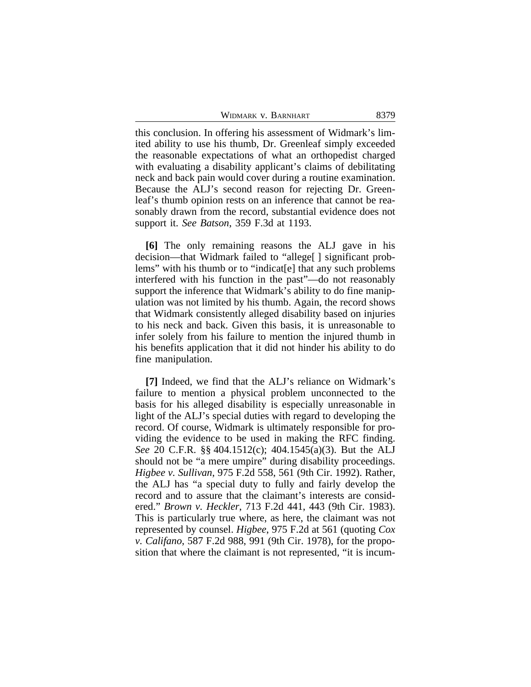WIDMARK V. BARNHART 8379

this conclusion. In offering his assessment of Widmark's limited ability to use his thumb, Dr. Greenleaf simply exceeded the reasonable expectations of what an orthopedist charged with evaluating a disability applicant's claims of debilitating neck and back pain would cover during a routine examination. Because the ALJ's second reason for rejecting Dr. Greenleaf's thumb opinion rests on an inference that cannot be reasonably drawn from the record, substantial evidence does not support it. *See Batson*, 359 F.3d at 1193.

**[6]** The only remaining reasons the ALJ gave in his decision—that Widmark failed to "allege[ ] significant problems" with his thumb or to "indicat[e] that any such problems interfered with his function in the past"—do not reasonably support the inference that Widmark's ability to do fine manipulation was not limited by his thumb. Again, the record shows that Widmark consistently alleged disability based on injuries to his neck and back. Given this basis, it is unreasonable to infer solely from his failure to mention the injured thumb in his benefits application that it did not hinder his ability to do fine manipulation.

**[7]** Indeed, we find that the ALJ's reliance on Widmark's failure to mention a physical problem unconnected to the basis for his alleged disability is especially unreasonable in light of the ALJ's special duties with regard to developing the record. Of course, Widmark is ultimately responsible for providing the evidence to be used in making the RFC finding. *See* 20 C.F.R. §§ 404.1512(c); 404.1545(a)(3). But the ALJ should not be "a mere umpire" during disability proceedings. *Higbee v. Sullivan*, 975 F.2d 558, 561 (9th Cir. 1992). Rather, the ALJ has "a special duty to fully and fairly develop the record and to assure that the claimant's interests are considered." *Brown v. Heckler*, 713 F.2d 441, 443 (9th Cir. 1983). This is particularly true where, as here, the claimant was not represented by counsel. *Higbee*, 975 F.2d at 561 (quoting *Cox v. Califano*, 587 F.2d 988, 991 (9th Cir. 1978), for the proposition that where the claimant is not represented, "it is incum-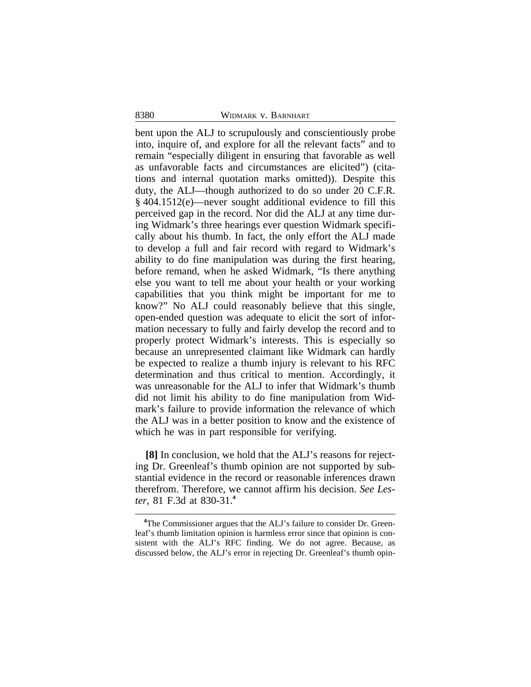#### 8380 WIDMARK v. BARNHART

bent upon the ALJ to scrupulously and conscientiously probe into, inquire of, and explore for all the relevant facts" and to remain "especially diligent in ensuring that favorable as well as unfavorable facts and circumstances are elicited") (citations and internal quotation marks omitted)). Despite this duty, the ALJ—though authorized to do so under 20 C.F.R. § 404.1512(e)—never sought additional evidence to fill this perceived gap in the record. Nor did the ALJ at any time during Widmark's three hearings ever question Widmark specifically about his thumb. In fact, the only effort the ALJ made to develop a full and fair record with regard to Widmark's ability to do fine manipulation was during the first hearing, before remand, when he asked Widmark, "Is there anything else you want to tell me about your health or your working capabilities that you think might be important for me to know?" No ALJ could reasonably believe that this single, open-ended question was adequate to elicit the sort of information necessary to fully and fairly develop the record and to properly protect Widmark's interests. This is especially so because an unrepresented claimant like Widmark can hardly be expected to realize a thumb injury is relevant to his RFC determination and thus critical to mention. Accordingly, it was unreasonable for the ALJ to infer that Widmark's thumb did not limit his ability to do fine manipulation from Widmark's failure to provide information the relevance of which the ALJ was in a better position to know and the existence of which he was in part responsible for verifying.

**[8]** In conclusion, we hold that the ALJ's reasons for rejecting Dr. Greenleaf's thumb opinion are not supported by substantial evidence in the record or reasonable inferences drawn therefrom. Therefore, we cannot affirm his decision. *See Lester*, 81 F.3d at 830-31.**<sup>4</sup>**

**<sup>4</sup>**The Commissioner argues that the ALJ's failure to consider Dr. Greenleaf's thumb limitation opinion is harmless error since that opinion is consistent with the ALJ's RFC finding. We do not agree. Because, as discussed below, the ALJ's error in rejecting Dr. Greenleaf's thumb opin-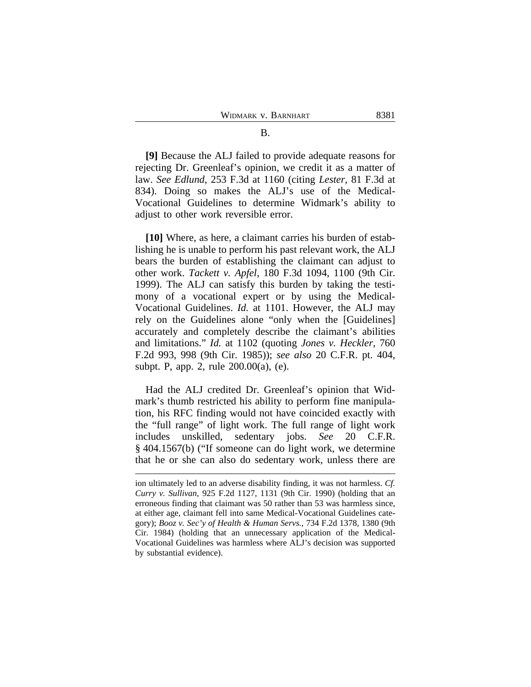**[9]** Because the ALJ failed to provide adequate reasons for rejecting Dr. Greenleaf's opinion, we credit it as a matter of law. *See Edlund*, 253 F.3d at 1160 (citing *Lester*, 81 F.3d at 834). Doing so makes the ALJ's use of the Medical-Vocational Guidelines to determine Widmark's ability to adjust to other work reversible error.

**[10]** Where, as here, a claimant carries his burden of establishing he is unable to perform his past relevant work, the ALJ bears the burden of establishing the claimant can adjust to other work. *Tackett v. Apfel*, 180 F.3d 1094, 1100 (9th Cir. 1999). The ALJ can satisfy this burden by taking the testimony of a vocational expert or by using the Medical-Vocational Guidelines. *Id.* at 1101. However, the ALJ may rely on the Guidelines alone "only when the [Guidelines] accurately and completely describe the claimant's abilities and limitations." *Id.* at 1102 (quoting *Jones v. Heckler*, 760 F.2d 993, 998 (9th Cir. 1985)); *see also* 20 C.F.R. pt. 404, subpt. P, app. 2, rule 200.00(a), (e).

Had the ALJ credited Dr. Greenleaf's opinion that Widmark's thumb restricted his ability to perform fine manipulation, his RFC finding would not have coincided exactly with the "full range" of light work. The full range of light work includes unskilled, sedentary jobs. *See* 20 C.F.R. § 404.1567(b) ("If someone can do light work, we determine that he or she can also do sedentary work, unless there are

ion ultimately led to an adverse disability finding, it was not harmless. *Cf. Curry v. Sullivan*, 925 F.2d 1127, 1131 (9th Cir. 1990) (holding that an erroneous finding that claimant was 50 rather than 53 was harmless since, at either age, claimant fell into same Medical-Vocational Guidelines category); *Booz v. Sec'y of Health & Human Servs.*, 734 F.2d 1378, 1380 (9th Cir. 1984) (holding that an unnecessary application of the Medical-Vocational Guidelines was harmless where ALJ's decision was supported by substantial evidence).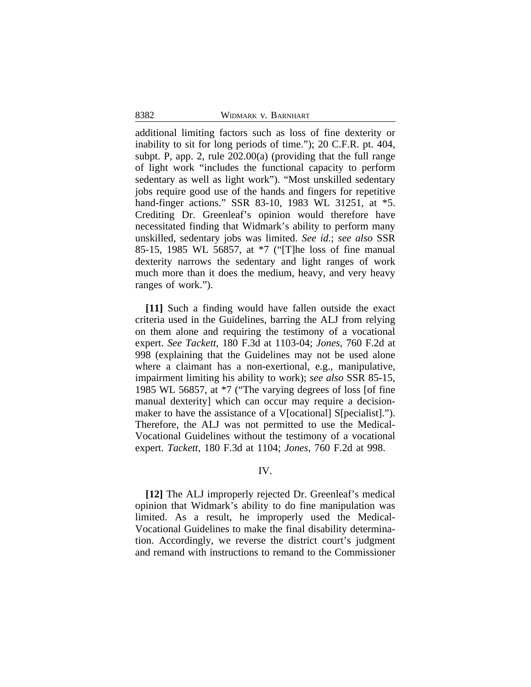additional limiting factors such as loss of fine dexterity or inability to sit for long periods of time."); 20 C.F.R. pt. 404, subpt. P, app. 2, rule 202.00(a) (providing that the full range of light work "includes the functional capacity to perform sedentary as well as light work"). "Most unskilled sedentary jobs require good use of the hands and fingers for repetitive hand-finger actions." SSR 83-10, 1983 WL 31251, at \*5. Crediting Dr. Greenleaf's opinion would therefore have necessitated finding that Widmark's ability to perform many unskilled, sedentary jobs was limited. *See id.*; *see also* SSR 85-15, 1985 WL 56857, at \*7 ("[T]he loss of fine manual dexterity narrows the sedentary and light ranges of work much more than it does the medium, heavy, and very heavy ranges of work.").

**[11]** Such a finding would have fallen outside the exact criteria used in the Guidelines, barring the ALJ from relying on them alone and requiring the testimony of a vocational expert. *See Tackett*, 180 F.3d at 1103-04; *Jones*, 760 F.2d at 998 (explaining that the Guidelines may not be used alone where a claimant has a non-exertional, e.g., manipulative, impairment limiting his ability to work); *see also* SSR 85-15, 1985 WL 56857, at \*7 ("The varying degrees of loss [of fine manual dexterity] which can occur may require a decisionmaker to have the assistance of a V[ocational] S[pecialist]."). Therefore, the ALJ was not permitted to use the Medical-Vocational Guidelines without the testimony of a vocational expert. *Tackett*, 180 F.3d at 1104; *Jones*, 760 F.2d at 998.

## IV.

**[12]** The ALJ improperly rejected Dr. Greenleaf's medical opinion that Widmark's ability to do fine manipulation was limited. As a result, he improperly used the Medical-Vocational Guidelines to make the final disability determination. Accordingly, we reverse the district court's judgment and remand with instructions to remand to the Commissioner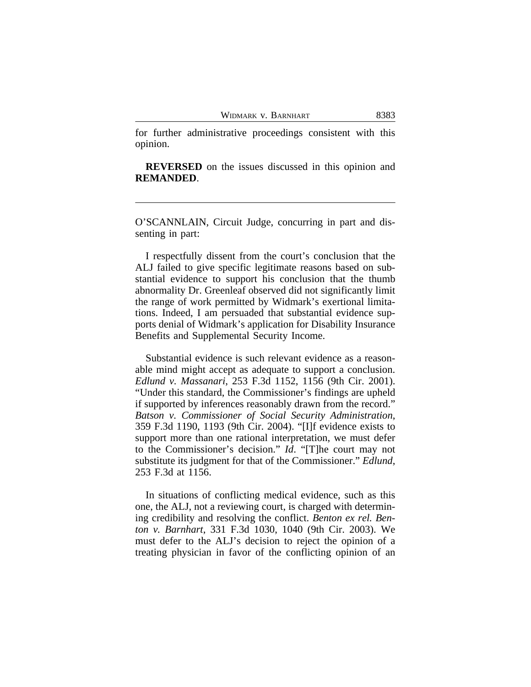WIDMARK V. BARNHART 8383

for further administrative proceedings consistent with this opinion.

**REVERSED** on the issues discussed in this opinion and **REMANDED**.

O'SCANNLAIN, Circuit Judge, concurring in part and dissenting in part:

I respectfully dissent from the court's conclusion that the ALJ failed to give specific legitimate reasons based on substantial evidence to support his conclusion that the thumb abnormality Dr. Greenleaf observed did not significantly limit the range of work permitted by Widmark's exertional limitations. Indeed, I am persuaded that substantial evidence supports denial of Widmark's application for Disability Insurance Benefits and Supplemental Security Income.

Substantial evidence is such relevant evidence as a reasonable mind might accept as adequate to support a conclusion. *Edlund v. Massanari*, 253 F.3d 1152, 1156 (9th Cir. 2001). "Under this standard, the Commissioner's findings are upheld if supported by inferences reasonably drawn from the record." *Batson v. Commissioner of Social Security Administration*, 359 F.3d 1190, 1193 (9th Cir. 2004). "[I]f evidence exists to support more than one rational interpretation, we must defer to the Commissioner's decision." *Id*. "[T]he court may not substitute its judgment for that of the Commissioner." *Edlund*, 253 F.3d at 1156.

In situations of conflicting medical evidence, such as this one, the ALJ, not a reviewing court, is charged with determining credibility and resolving the conflict. *Benton ex rel. Benton v. Barnhart*, 331 F.3d 1030, 1040 (9th Cir. 2003). We must defer to the ALJ's decision to reject the opinion of a treating physician in favor of the conflicting opinion of an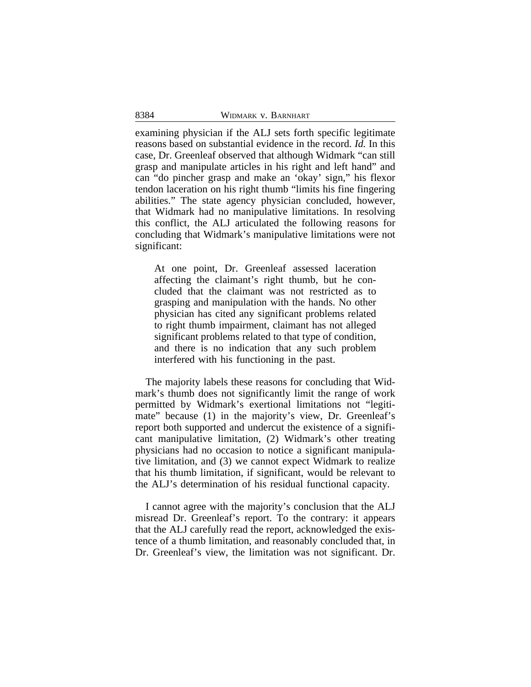examining physician if the ALJ sets forth specific legitimate reasons based on substantial evidence in the record. *Id.* In this case, Dr. Greenleaf observed that although Widmark "can still grasp and manipulate articles in his right and left hand" and can "do pincher grasp and make an 'okay' sign," his flexor tendon laceration on his right thumb "limits his fine fingering abilities." The state agency physician concluded, however, that Widmark had no manipulative limitations. In resolving this conflict, the ALJ articulated the following reasons for concluding that Widmark's manipulative limitations were not significant:

At one point, Dr. Greenleaf assessed laceration affecting the claimant's right thumb, but he concluded that the claimant was not restricted as to grasping and manipulation with the hands. No other physician has cited any significant problems related to right thumb impairment, claimant has not alleged significant problems related to that type of condition, and there is no indication that any such problem interfered with his functioning in the past.

The majority labels these reasons for concluding that Widmark's thumb does not significantly limit the range of work permitted by Widmark's exertional limitations not "legitimate" because (1) in the majority's view, Dr. Greenleaf's report both supported and undercut the existence of a significant manipulative limitation, (2) Widmark's other treating physicians had no occasion to notice a significant manipulative limitation, and (3) we cannot expect Widmark to realize that his thumb limitation, if significant, would be relevant to the ALJ's determination of his residual functional capacity.

I cannot agree with the majority's conclusion that the ALJ misread Dr. Greenleaf's report. To the contrary: it appears that the ALJ carefully read the report, acknowledged the existence of a thumb limitation, and reasonably concluded that, in Dr. Greenleaf's view, the limitation was not significant. Dr.